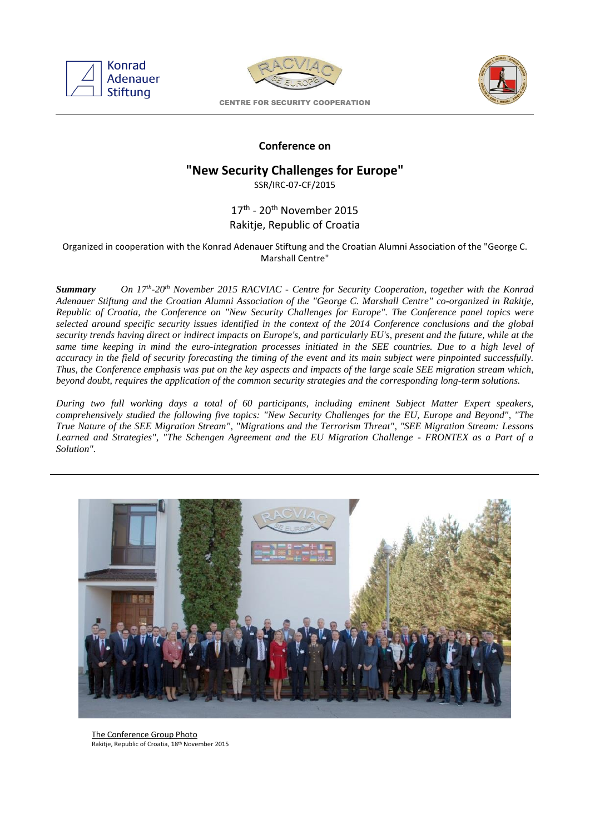



CENTRE FOR SECURITY COOPERATION



## **Conference on**

# **"New Security Challenges for Europe"**

SSR/IRC-07-CF/2015

# 17<sup>th</sup> - 20<sup>th</sup> November 2015 Rakitje, Republic of Croatia

#### Organized in cooperation with the Konrad Adenauer Stiftung and the Croatian Alumni Association of the "George C. Marshall Centre"

 $Summarv$ *-20th November 2015 RACVIAC - Centre for Security Cooperation, together with the Konrad Adenauer Stiftung and the Croatian Alumni Association of the "George C. Marshall Centre" co-organized in Rakitje, Republic of Croatia, the Conference on "New Security Challenges for Europe". The Conference panel topics were selected around specific security issues identified in the context of the 2014 Conference conclusions and the global security trends having direct or indirect impacts on Europe's, and particularly EU's, present and the future, while at the same time keeping in mind the euro-integration processes initiated in the SEE countries. Due to a high level of accuracy in the field of security forecasting the timing of the event and its main subject were pinpointed successfully. Thus, the Conference emphasis was put on the key aspects and impacts of the large scale SEE migration stream which, beyond doubt, requires the application of the common security strategies and the corresponding long-term solutions.*

*During two full working days a total of 60 participants, including eminent Subject Matter Expert speakers, comprehensively studied the following five topics: "New Security Challenges for the EU, Europe and Beyond", "The True Nature of the SEE Migration Stream", "Migrations and the Terrorism Threat", "SEE Migration Stream: Lessons Learned and Strategies", "The Schengen Agreement and the EU Migration Challenge - FRONTEX as a Part of a Solution".*



The Conference Group Photo Rakitje, Republic of Croatia, 18th November 2015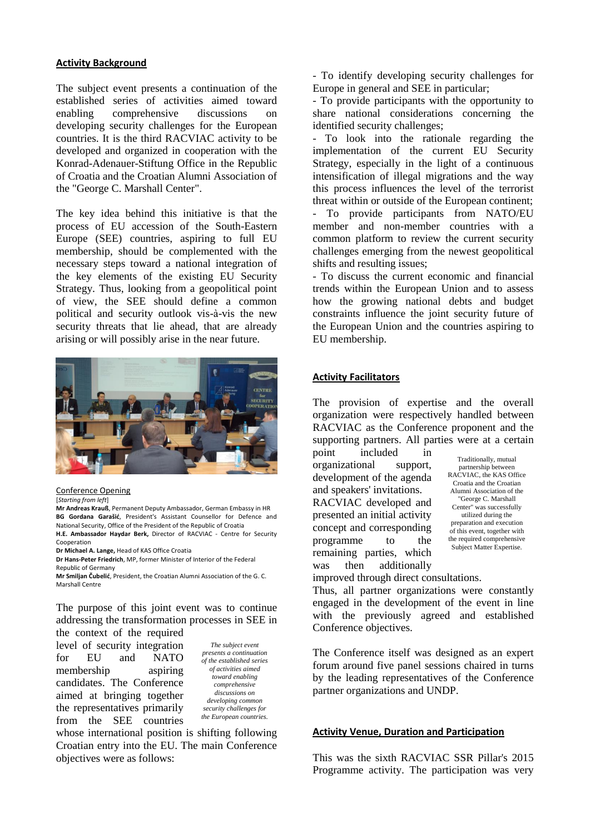#### **Activity Background**

The subject event presents a continuation of the established series of activities aimed toward enabling comprehensive discussions on developing security challenges for the European countries. It is the third RACVIAC activity to be developed and organized in cooperation with the Konrad-Adenauer-Stiftung Office in the Republic of Croatia and the Croatian Alumni Association of the "George C. Marshall Center".

The key idea behind this initiative is that the process of EU accession of the South-Eastern Europe (SEE) countries, aspiring to full EU membership, should be complemented with the necessary steps toward a national integration of the key elements of the existing EU Security Strategy. Thus, looking from a geopolitical point of view, the SEE should define a common political and security outlook vis-à-vis the new security threats that lie ahead, that are already arising or will possibly arise in the near future.



Conference Opening

[*Starting from left*]

**Mr Andreas Krauß**, Permanent Deputy Ambassador, German Embassy in HR **BG Gordana Garašić**, President's Assistant Counsellor for Defence and National Security, Office of the President of the Republic of Croatia **H.E. Ambassador Haydar Berk,** Director of RACVIAC - Centre for Security Cooperation

**Dr Michael A. Lange,** Head of KAS Office Croatia

**Dr Hans-Peter Friedrich**, MP, former Minister of Interior of the Federal Republic of Germany

**Mr Smiljan Čubelić**, President, the Croatian Alumni Association of the G. C. Marshall Centre

The purpose of this joint event was to continue addressing the transformation processes in SEE in the context of the required

level of security integration for EU and NATO membership aspiring candidates. The Conference aimed at bringing together the representatives primarily from the SEE countries

*The subject event presents a continuation of the established series of activities aimed toward enabling comprehensive discussions on developing common security challenges for the European countries.*

whose international position is shifting following Croatian entry into the EU. The main Conference objectives were as follows:

- To identify developing security challenges for Europe in general and SEE in particular;

- To provide participants with the opportunity to share national considerations concerning the identified security challenges;

To look into the rationale regarding the implementation of the current EU Security Strategy, especially in the light of a continuous intensification of illegal migrations and the way this process influences the level of the terrorist threat within or outside of the European continent; - To provide participants from NATO/EU member and non-member countries with a common platform to review the current security challenges emerging from the newest geopolitical shifts and resulting issues;

- To discuss the current economic and financial trends within the European Union and to assess how the growing national debts and budget constraints influence the joint security future of the European Union and the countries aspiring to EU membership.

#### **Activity Facilitators**

The provision of expertise and the overall organization were respectively handled between RACVIAC as the Conference proponent and the supporting partners. All parties were at a certain

point included in organizational support, development of the agenda and speakers' invitations. RACVIAC developed and presented an initial activity concept and corresponding programme to the remaining parties, which was then additionally

Traditionally, mutual partnership between RACVIAC, the KAS Office Croatia and the Croatian Alumni Association of the "George C. Marshall Center" was successfully utilized during the preparation and execution of this event, together with the required comprehensive Subject Matter Expertise.

improved through direct consultations.

Thus, all partner organizations were constantly engaged in the development of the event in line with the previously agreed and established Conference objectives.

The Conference itself was designed as an expert forum around five panel sessions chaired in turns by the leading representatives of the Conference partner organizations and UNDP.

#### **Activity Venue, Duration and Participation**

This was the sixth RACVIAC SSR Pillar's 2015 Programme activity. The participation was very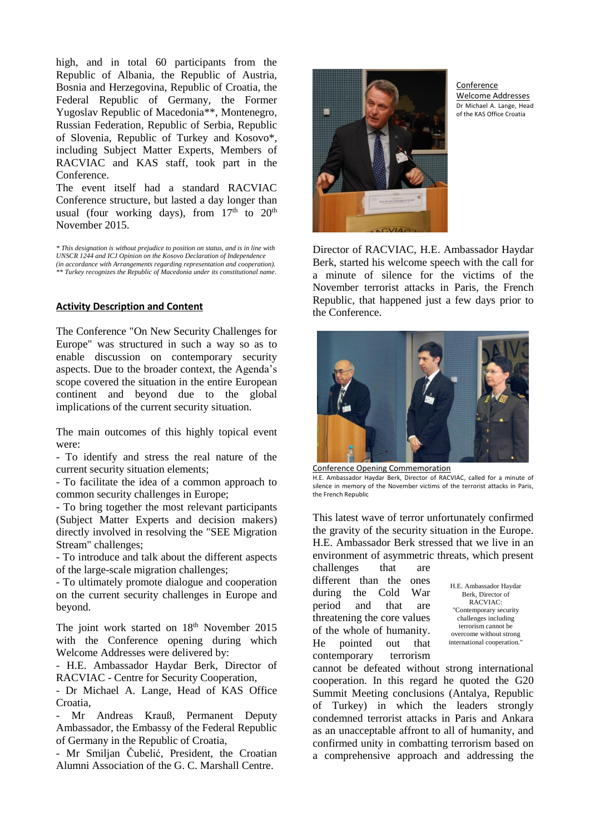high, and in total 60 participants from the Republic of Albania, the Republic of Austria, Bosnia and Herzegovina, Republic of Croatia, the Federal Republic of Germany, the Former Yugoslav Republic of Macedonia\*\*, Montenegro, Russian Federation, Republic of Serbia, Republic of Slovenia, Republic of Turkey and Kosovo\*, including Subject Matter Experts, Members of RACVIAC and KAS staff, took part in the Conference.

The event itself had a standard RACVIAC Conference structure, but lasted a day longer than usual (four working days), from  $17<sup>th</sup>$  to  $20<sup>th</sup>$ November 2015.

*\* This designation is without prejudice to position on status, and is in line with UNSCR 1244 and ICJ Opinion on the Kosovo Declaration of Independence (in accordance with Arrangements regarding representation and cooperation). \*\* Turkey recognizes the Republic of Macedonia under its constitutional name.*

### **Activity Description and Content**

The Conference "On New Security Challenges for Europe" was structured in such a way so as to enable discussion on contemporary security aspects. Due to the broader context, the Agenda's scope covered the situation in the entire European continent and beyond due to the global implications of the current security situation.

The main outcomes of this highly topical event were:

- To identify and stress the real nature of the current security situation elements;

- To facilitate the idea of a common approach to common security challenges in Europe;

- To bring together the most relevant participants (Subject Matter Experts and decision makers) directly involved in resolving the "SEE Migration Stream" challenges;

- To introduce and talk about the different aspects of the large-scale migration challenges;

- To ultimately promote dialogue and cooperation on the current security challenges in Europe and beyond.

The joint work started on 18<sup>th</sup> November 2015 with the Conference opening during which Welcome Addresses were delivered by:

- H.E. Ambassador Haydar Berk, Director of RACVIAC - Centre for Security Cooperation,

- Dr Michael A. Lange, Head of KAS Office Croatia,

Mr Andreas Krauß, Permanent Deputy Ambassador, the Embassy of the Federal Republic of Germany in the Republic of Croatia,

- Mr Smiljan Čubelić, President, the Croatian Alumni Association of the G. C. Marshall Centre.



Conference Welcome Addresses Dr Michael A. Lange, Head of the KAS Office Croatia

Director of RACVIAC, H.E. Ambassador Haydar Berk, started his welcome speech with the call for a minute of silence for the victims of the November terrorist attacks in Paris, the French Republic, that happened just a few days prior to the Conference.



Conference Opening Commemoration

H.E. Ambassador Haydar Berk, Director of RACVIAC, called for a minute of silence in memory of the November victims of the terrorist attacks in Paris, the French Republic

This latest wave of terror unfortunately confirmed the gravity of the security situation in the Europe. H.E. Ambassador Berk stressed that we live in an environment of asymmetric threats, which present

challenges that are different than the ones during the Cold War period and that are threatening the core values of the whole of humanity. He pointed out that contemporary terrorism

H.E. Ambassador Haydar Berk, Director of RACVIAC: "Contemporary security challenges including terrorism cannot be overcome without strong international cooperation.

cannot be defeated without strong international cooperation. In this regard he quoted the G20 Summit Meeting conclusions (Antalya, Republic of Turkey) in which the leaders strongly condemned terrorist attacks in Paris and Ankara as an unacceptable affront to all of humanity, and confirmed unity in combatting terrorism based on a comprehensive approach and addressing the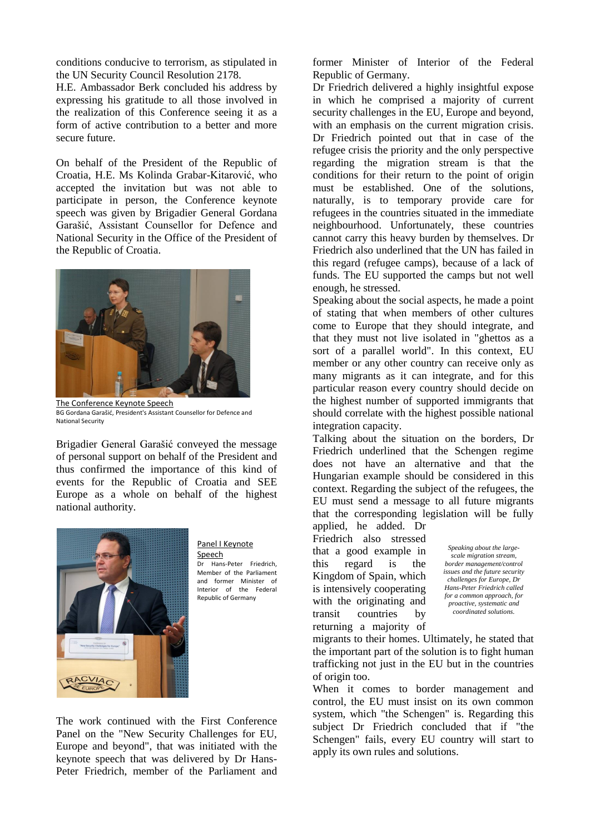conditions conducive to terrorism, as stipulated in the UN Security Council Resolution 2178.

H.E. Ambassador Berk concluded his address by expressing his gratitude to all those involved in the realization of this Conference seeing it as a form of active contribution to a better and more secure future.

On behalf of the President of the Republic of Croatia, H.E. Ms Kolinda Grabar-Kitarović, who accepted the invitation but was not able to participate in person, the Conference keynote speech was given by Brigadier General Gordana Garašić, Assistant Counsellor for Defence and National Security in the Office of the President of the Republic of Croatia.



The Conference Keynote Speech BG Gordana Garašić, President's Assistant Counsellor for Defence and National Security

Brigadier General Garašić conveyed the message of personal support on behalf of the President and thus confirmed the importance of this kind of events for the Republic of Croatia and SEE Europe as a whole on behalf of the highest national authority.



Panel I Keynote **Speech** Dr Hans-Peter Friedrich, Member of the Parliament and former Minister of Interior of the Federal

The work continued with the First Conference Panel on the "New Security Challenges for EU, Europe and beyond", that was initiated with the keynote speech that was delivered by Dr Hans-Peter Friedrich, member of the Parliament and

former Minister of Interior of the Federal Republic of Germany.

Dr Friedrich delivered a highly insightful expose in which he comprised a majority of current security challenges in the EU, Europe and beyond, with an emphasis on the current migration crisis. Dr Friedrich pointed out that in case of the refugee crisis the priority and the only perspective regarding the migration stream is that the conditions for their return to the point of origin must be established. One of the solutions, naturally, is to temporary provide care for refugees in the countries situated in the immediate neighbourhood. Unfortunately, these countries cannot carry this heavy burden by themselves. Dr Friedrich also underlined that the UN has failed in this regard (refugee camps), because of a lack of funds. The EU supported the camps but not well enough, he stressed.

Speaking about the social aspects, he made a point of stating that when members of other cultures come to Europe that they should integrate, and that they must not live isolated in "ghettos as a sort of a parallel world". In this context, EU member or any other country can receive only as many migrants as it can integrate, and for this particular reason every country should decide on the highest number of supported immigrants that should correlate with the highest possible national integration capacity.

Talking about the situation on the borders, Dr Friedrich underlined that the Schengen regime does not have an alternative and that the Hungarian example should be considered in this context. Regarding the subject of the refugees, the EU must send a message to all future migrants that the corresponding legislation will be fully

applied, he added. Dr Friedrich also stressed that a good example in this regard is the Kingdom of Spain, which is intensively cooperating with the originating and transit countries by returning a majority of

*Speaking about the largescale migration stream, border management/control issues and the future security challenges for Europe, Dr Hans-Peter Friedrich called for a common approach, for proactive, systematic and coordinated solutions.*

migrants to their homes. Ultimately, he stated that the important part of the solution is to fight human trafficking not just in the EU but in the countries of origin too.

When it comes to border management and control, the EU must insist on its own common system, which "the Schengen" is. Regarding this subject Dr Friedrich concluded that if "the Schengen" fails, every EU country will start to apply its own rules and solutions.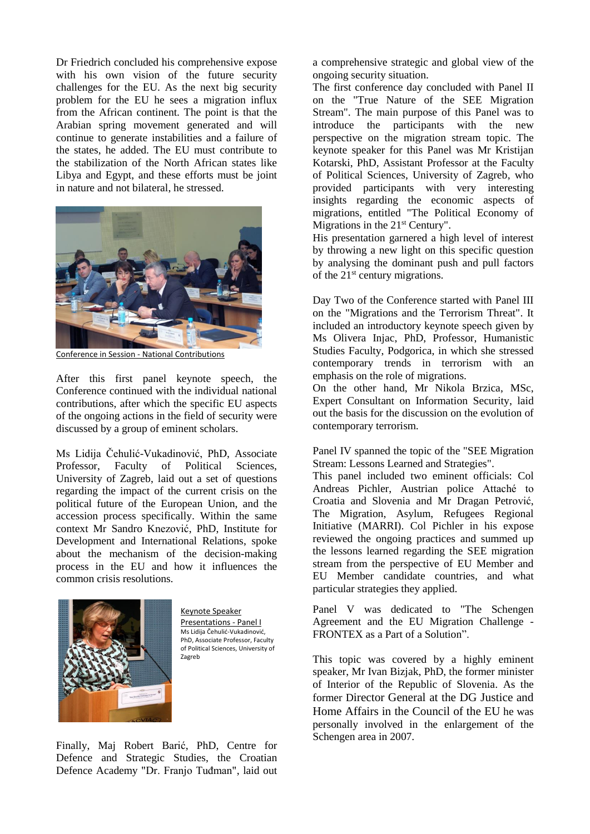Dr Friedrich concluded his comprehensive expose with his own vision of the future security challenges for the EU. As the next big security problem for the EU he sees a migration influx from the African continent. The point is that the Arabian spring movement generated and will continue to generate instabilities and a failure of the states, he added. The EU must contribute to the stabilization of the North African states like Libya and Egypt, and these efforts must be joint in nature and not bilateral, he stressed.



Conference in Session - National Contributions

After this first panel keynote speech, the Conference continued with the individual national contributions, after which the specific EU aspects of the ongoing actions in the field of security were discussed by a group of eminent scholars.

Ms Lidija Čehulić-Vukadinović, PhD, Associate Professor, Faculty of Political Sciences, University of Zagreb, laid out a set of questions regarding the impact of the current crisis on the political future of the European Union, and the accession process specifically. Within the same context Mr Sandro Knezović, PhD, Institute for Development and International Relations, spoke about the mechanism of the decision-making process in the EU and how it influences the common crisis resolutions.



Keynote Speaker Presentations - Panel I Ms Lidija Čehulić-Vukadinović, PhD, Associate Professor, Faculty of Political Sciences, University of Zagreb

Finally, Maj Robert Barić, PhD, Centre for Defence and Strategic Studies, the Croatian Defence Academy "Dr. Franjo Tuđman", laid out a comprehensive strategic and global view of the ongoing security situation.

The first conference day concluded with Panel II on the "True Nature of the SEE Migration Stream". The main purpose of this Panel was to introduce the participants with the new perspective on the migration stream topic. The keynote speaker for this Panel was Mr Kristijan Kotarski, PhD, Assistant Professor at the Faculty of Political Sciences, University of Zagreb, who provided participants with very interesting insights regarding the economic aspects of migrations, entitled "The Political Economy of Migrations in the 21<sup>st</sup> Century".

His presentation garnered a high level of interest by throwing a new light on this specific question by analysing the dominant push and pull factors of the  $21<sup>st</sup>$  century migrations.

Day Two of the Conference started with Panel III on the "Migrations and the Terrorism Threat". It included an introductory keynote speech given by Ms Olivera Injac, PhD, Professor, Humanistic Studies Faculty, Podgorica, in which she stressed contemporary trends in terrorism with an emphasis on the role of migrations.

On the other hand, Mr Nikola Brzica, MSc, Expert Consultant on Information Security, laid out the basis for the discussion on the evolution of contemporary terrorism.

Panel IV spanned the topic of the "SEE Migration Stream: Lessons Learned and Strategies".

This panel included two eminent officials: Col Andreas Pichler, Austrian police Attaché to Croatia and Slovenia and Mr Dragan Petrović, The Migration, Asylum, Refugees Regional Initiative (MARRI). Col Pichler in his expose reviewed the ongoing practices and summed up the lessons learned regarding the SEE migration stream from the perspective of EU Member and EU Member candidate countries, and what particular strategies they applied.

Panel V was dedicated to "The Schengen Agreement and the EU Migration Challenge - FRONTEX as a Part of a Solution".

This topic was covered by a highly eminent speaker, Mr Ivan Bizjak, PhD, the former minister of Interior of the Republic of Slovenia. As the former Director General at the DG Justice and Home Affairs in the Council of the EU he was personally involved in the enlargement of the Schengen area in 2007.